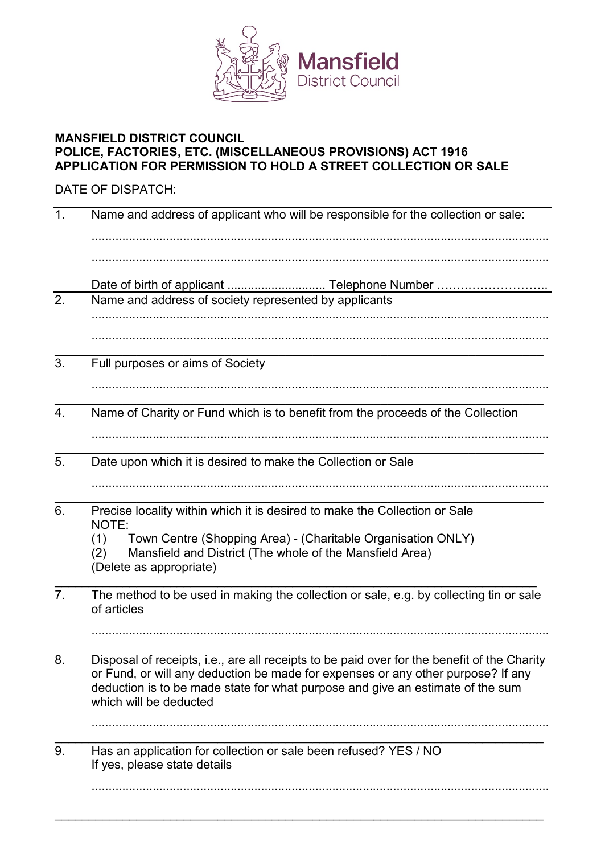

## **MANSFIELD DISTRICT COUNCIL POLICE, FACTORIES, ETC. (MISCELLANEOUS PROVISIONS) ACT 1916 APPLICATION FOR PERMISSION TO HOLD A STREET COLLECTION OR SALE**

## DATE OF DISPATCH:

| 1.             | Name and address of applicant who will be responsible for the collection or sale:                                                                                                                                                                                                           |  |
|----------------|---------------------------------------------------------------------------------------------------------------------------------------------------------------------------------------------------------------------------------------------------------------------------------------------|--|
|                |                                                                                                                                                                                                                                                                                             |  |
| 2.             | Name and address of society represented by applicants                                                                                                                                                                                                                                       |  |
|                |                                                                                                                                                                                                                                                                                             |  |
| 3.             | Full purposes or aims of Society                                                                                                                                                                                                                                                            |  |
| 4.             | Name of Charity or Fund which is to benefit from the proceeds of the Collection                                                                                                                                                                                                             |  |
| 5.             | Date upon which it is desired to make the Collection or Sale                                                                                                                                                                                                                                |  |
| 6.             | Precise locality within which it is desired to make the Collection or Sale<br>NOTE:<br>Town Centre (Shopping Area) - (Charitable Organisation ONLY)<br>(1)<br>Mansfield and District (The whole of the Mansfield Area)<br>(2)<br>(Delete as appropriate)                                    |  |
| 7 <sub>1</sub> | The method to be used in making the collection or sale, e.g. by collecting tin or sale<br>of articles                                                                                                                                                                                       |  |
| 8              | Disposal of receipts, i.e., are all receipts to be paid over for the benefit of the Charity<br>or Fund, or will any deduction be made for expenses or any other purpose? If any<br>deduction is to be made state for what purpose and give an estimate of the sum<br>which will be deducted |  |
| 9.             | Has an application for collection or sale been refused? YES / NO<br>If yes, please state details                                                                                                                                                                                            |  |
|                |                                                                                                                                                                                                                                                                                             |  |

\_\_\_\_\_\_\_\_\_\_\_\_\_\_\_\_\_\_\_\_\_\_\_\_\_\_\_\_\_\_\_\_\_\_\_\_\_\_\_\_\_\_\_\_\_\_\_\_\_\_\_\_\_\_\_\_\_\_\_\_\_\_\_\_\_\_\_\_\_\_\_\_